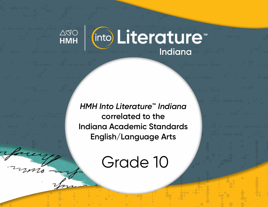

*HMH Into Literature***™** *Indiana* **correlated to the Indiana Academic Standards English/Language Arts** 

Grade 10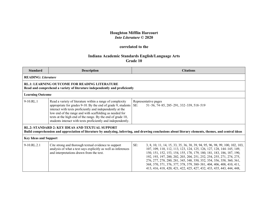## **Houghton Mifflin Harcourt** *Into Literature* **© 2020**

## **correlated to the**

## **Indiana Academic Standards English/Language Arts Grade 10**

| <b>Standard</b>                                                                                                                                                                                                  | <b>Description</b>                                                                                                                                                                                                                                                                                                                                                               | <b>Citations</b>                                                                                                                                                                                                                                                                                                                                                                                                                                                                                                                        |  |  |
|------------------------------------------------------------------------------------------------------------------------------------------------------------------------------------------------------------------|----------------------------------------------------------------------------------------------------------------------------------------------------------------------------------------------------------------------------------------------------------------------------------------------------------------------------------------------------------------------------------|-----------------------------------------------------------------------------------------------------------------------------------------------------------------------------------------------------------------------------------------------------------------------------------------------------------------------------------------------------------------------------------------------------------------------------------------------------------------------------------------------------------------------------------------|--|--|
|                                                                                                                                                                                                                  | <b>READING: Literature</b>                                                                                                                                                                                                                                                                                                                                                       |                                                                                                                                                                                                                                                                                                                                                                                                                                                                                                                                         |  |  |
| <b>RL.1: LEARNING OUTCOME FOR READING LITERATURE</b><br>Read and comprehend a variety of literature independently and proficiently                                                                               |                                                                                                                                                                                                                                                                                                                                                                                  |                                                                                                                                                                                                                                                                                                                                                                                                                                                                                                                                         |  |  |
| <b>Learning Outcome</b>                                                                                                                                                                                          |                                                                                                                                                                                                                                                                                                                                                                                  |                                                                                                                                                                                                                                                                                                                                                                                                                                                                                                                                         |  |  |
| 9-10.RL.1                                                                                                                                                                                                        | Read a variety of literature within a range of complexity<br>appropriate for grades 9-10. By the end of grade 9, students<br>interact with texts proficiently and independently at the<br>low end of the range and with scaffolding as needed for<br>texts at the high end of the range. By the end of grade 10,<br>students interact with texts proficiently and independently. | Representative pages<br>SE:<br>51-56, 74-85, 285-291, 332-339, 518-519                                                                                                                                                                                                                                                                                                                                                                                                                                                                  |  |  |
| <b>RL.2: STANDARD 2: KEY IDEAS AND TEXTUAL SUPPORT</b><br>Build comprehension and appreciation of literature by analyzing, inferring, and drawing conclusions about literary elements, themes, and central ideas |                                                                                                                                                                                                                                                                                                                                                                                  |                                                                                                                                                                                                                                                                                                                                                                                                                                                                                                                                         |  |  |
| <b>Key Ideas and Support</b>                                                                                                                                                                                     |                                                                                                                                                                                                                                                                                                                                                                                  |                                                                                                                                                                                                                                                                                                                                                                                                                                                                                                                                         |  |  |
| 9-10.RL.2.1                                                                                                                                                                                                      | Cite strong and thorough textual evidence to support<br>analysis of what a text says explicitly as well as inferences<br>and interpretations drawn from the text.                                                                                                                                                                                                                | SE:<br>3, 8, 10, 11, 14, 15, 33, 35, 36, 38, 39, 94, 95, 96, 98, 99, 100, 102, 103,<br>107, 109, 110, 112, 113, 123, 124, 125, 126, 127, 128, 144-145, 149,<br>150, 151, 152, 153, 154, 155, 178, 179, 180, 181, 183, 186, 187, 190,<br>192, 193, 197, 200, 202, 203, 204, 251, 252, 254, 255, 271, 274, 275,<br>276, 277, 278, 280, 281, 345, 348, 350, 352, 354, 356, 358, 360, 361,<br>368, 370, 371, 376, 377, 378, 379, 380-381, 404, 406, 408, 410, 411,<br>413, 416, 418, 420, 421, 422, 425, 427, 432, 433, 435, 443, 444, 448, |  |  |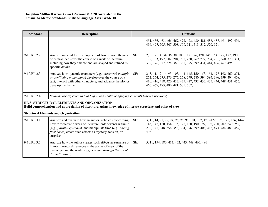| <b>Standard</b>                                                                                                                                                  | <b>Description</b>                                                                                                                                                                                                                                                        | <b>Citations</b>                                                                                                                                                                                                                                                      |  |
|------------------------------------------------------------------------------------------------------------------------------------------------------------------|---------------------------------------------------------------------------------------------------------------------------------------------------------------------------------------------------------------------------------------------------------------------------|-----------------------------------------------------------------------------------------------------------------------------------------------------------------------------------------------------------------------------------------------------------------------|--|
|                                                                                                                                                                  |                                                                                                                                                                                                                                                                           | 451, 456, 463, 466, 467, 472, 473, 480, 481, 486, 487, 491, 492, 494,<br>496, 497, 505, 507, 508, 509, 511, 513, 517, 520, 521                                                                                                                                        |  |
| $9-10.RL.2.2$                                                                                                                                                    | Analyze in detail the development of two or more themes<br>or central ideas over the course of a work of literature,<br>including how they emerge and are shaped and refined by<br>specific details.                                                                      | SE:<br>2, 3, 12, 14, 34, 36, 38, 103, 112, 126, 128, 145, 154, 175, 187, 190,<br>192, 193, 197, 202, 204, 205, 250, 269, 272, 274, 281, 360, 370, 371,<br>372, 376, 377, 378, 380–381, 395, 399, 431, 444, 466, 467, 495                                              |  |
| $9-10.RL.2.3$                                                                                                                                                    | Analyze how dynamic characters (e.g., those with multiple<br>or conflicting motivations) develop over the course of a<br>text, interact with other characters, and advance the plot or<br>develop the theme.                                                              | SE:<br>2–3, 11, 12, 14, 93–103, 144–145, 150, 153, 154, 177–192, 269, 271,<br>272, 274, 275, 276, 277, 278, 279, 280, 394-395, 396, 399, 404, 408,<br>410, 416, 418, 420, 422, 425, 427, 432, 433, 435, 444, 448, 451, 456,<br>466, 467, 473, 480, 481, 501, 507, 511 |  |
| $9-10.RL.2.4$                                                                                                                                                    | Students are expected to build upon and continue applying concepts learned previously.                                                                                                                                                                                    |                                                                                                                                                                                                                                                                       |  |
| <b>RL.3: STRUCTURAL ELEMENTS AND ORGANIZATION</b><br>Build comprehension and appreciation of literature, using knowledge of literary structure and point of view |                                                                                                                                                                                                                                                                           |                                                                                                                                                                                                                                                                       |  |
| <b>Structural Elements and Organization</b>                                                                                                                      |                                                                                                                                                                                                                                                                           |                                                                                                                                                                                                                                                                       |  |
| $9-10.RL.3.1$                                                                                                                                                    | Analyze and evaluate how an author's choices concerning<br>how to structure a work of literature, order events within it<br>(e.g., parallel episodes), and manipulate time (e.g., pacing,<br><i>flashbacks</i> ) create such effects as mystery, tension, or<br>surprise. | SE:<br>3, 11, 14, 91, 92, 94, 95, 96, 98, 101, 102, 121–122, 123, 125, 126, 144–<br>145, 147, 150, 154, 175, 178, 180, 190, 192, 198, 200, 202, 249, 252,<br>272, 345, 348, 356, 358, 394, 396, 399, 408, 418, 473, 484, 486, 489,<br>496                             |  |
| 9-10.RL.3.2                                                                                                                                                      | Analyze how the author creates such effects as suspense or<br>humor through differences in the points of view of the<br>characters and the reader (e.g., created through the use of<br>dramatic irony).                                                                   | SE:<br>5, 11, 154, 180, 413, 432, 443, 448, 463, 496                                                                                                                                                                                                                  |  |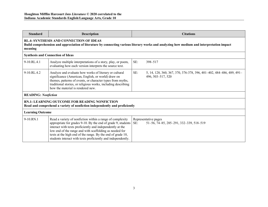| <b>Standard</b>                                                                                                                                                                                         | <b>Description</b>                                                                                                                                                                                                                                                                                                                                                               | <b>Citations</b>                                                                                 |  |
|---------------------------------------------------------------------------------------------------------------------------------------------------------------------------------------------------------|----------------------------------------------------------------------------------------------------------------------------------------------------------------------------------------------------------------------------------------------------------------------------------------------------------------------------------------------------------------------------------|--------------------------------------------------------------------------------------------------|--|
| <b>RL.4: SYNTHESIS AND CONNECTION OF IDEAS</b><br>Build comprehension and appreciation of literature by connecting various literary works and analyzing how medium and interpretation impact<br>meaning |                                                                                                                                                                                                                                                                                                                                                                                  |                                                                                                  |  |
|                                                                                                                                                                                                         | <b>Synthesis and Connection of Ideas</b>                                                                                                                                                                                                                                                                                                                                         |                                                                                                  |  |
| 9-10.RL.4.1                                                                                                                                                                                             | Analyze multiple interpretations of a story, play, or poem,<br>evaluating how each version interprets the source text.                                                                                                                                                                                                                                                           | SE:<br>398-517                                                                                   |  |
| 9-10.RL.4.2                                                                                                                                                                                             | Analyze and evaluate how works of literary or cultural<br>significance (American, English, or world) draw on<br>themes, patterns of events, or character types from myths,<br>traditional stories, or religious works, including describing<br>how the material is rendered new.                                                                                                 | SE:<br>5, 14, 128, 360, 367, 370, 376-378, 396, 401-402, 484-486, 489, 491-<br>496, 503-517, 520 |  |
| <b>READING: Nonfiction</b>                                                                                                                                                                              |                                                                                                                                                                                                                                                                                                                                                                                  |                                                                                                  |  |
| <b>RN.1: LEARNING OUTCOME FOR READING NONFICTION</b><br>Read and comprehend a variety of nonfiction independently and proficiently                                                                      |                                                                                                                                                                                                                                                                                                                                                                                  |                                                                                                  |  |
| <b>Learning Outcome</b>                                                                                                                                                                                 |                                                                                                                                                                                                                                                                                                                                                                                  |                                                                                                  |  |
| 9-10.RN.1                                                                                                                                                                                               | Read a variety of nonfiction within a range of complexity<br>appropriate for grades 9-10. By the end of grade 9, students<br>interact with texts proficiently and independently at the<br>low end of the range and with scaffolding as needed for<br>texts at the high end of the range. By the end of grade 10,<br>students interact with texts proficiently and independently. | Representative pages<br>51-56, 74-85, 285-291, 332-339, 518-519<br>SE:                           |  |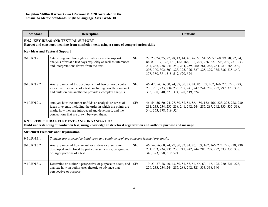| <b>Standard</b>                                                                                                                                                   | <b>Description</b>                                                                                                                                                                                                          |     | <b>Citations</b>                                                                                                                                                                                                                                                                                                                               |
|-------------------------------------------------------------------------------------------------------------------------------------------------------------------|-----------------------------------------------------------------------------------------------------------------------------------------------------------------------------------------------------------------------------|-----|------------------------------------------------------------------------------------------------------------------------------------------------------------------------------------------------------------------------------------------------------------------------------------------------------------------------------------------------|
| <b>RN.2: KEY IDEAS AND TEXTUAL SUPPORT</b><br>Extract and construct meaning from nonfiction texts using a range of comprehension skills                           |                                                                                                                                                                                                                             |     |                                                                                                                                                                                                                                                                                                                                                |
| <b>Key Ideas and Textural Support</b>                                                                                                                             |                                                                                                                                                                                                                             |     |                                                                                                                                                                                                                                                                                                                                                |
| 9-10.RN.2.1                                                                                                                                                       | Cite strong and thorough textual evidence to support<br>analysis of what a text says explicitly as well as inferences<br>and interpretations drawn from the text.                                                           | SE: | 22, 23, 24, 25, 27, 28, 43, 44, 46, 47, 53, 54, 56, 57, 60, 79, 80, 82, 84,<br>86, 87, 117, 128, 161, 162, 166, 172, 225, 226, 227, 228, 230, 231, 233,<br>234, 235, 238, 241, 242, 244, 259, 260, 261, 262, 264, 287, 288, 292,<br>293, 300, 302, 303, 323, 325, 326, 327, 328, 329, 335, 336, 338, 340,<br>378, 380, 381, 518, 519, 520, 524 |
| 9-10.RN.2.2                                                                                                                                                       | Analyze in detail the development of two or more central<br>ideas over the course of a text, including how they interact<br>and build on one another to provide a complex analysis.                                         | SE: | 46, 47, 54, 56, 60, 74, 77, 80, 82, 84, 86, 159, 162, 166, 223, 225, 228,<br>230, 231, 233, 234, 235, 238, 241, 242, 244, 285, 287, 292, 328, 333,<br>335, 338, 340, 373, 374, 378, 519, 524                                                                                                                                                   |
| $9-10 RN.2.3$                                                                                                                                                     | Analyze how the author unfolds an analysis or series of<br>ideas or events, including the order in which the points are<br>made, how they are introduced and developed, and the<br>connections that are drawn between them. | SE: | 46, 54, 56, 60, 74, 77, 80, 82, 84, 86, 159, 162, 166, 223, 225, 228, 230,<br>231, 233, 234, 235, 238, 241, 242, 244, 285, 287, 292, 333, 335, 338,<br>340, 373, 378, 519, 524                                                                                                                                                                 |
| RN.3: STRUCTURAL ELEMENTS AND ORGANIZATION<br>Build understanding of nonfiction text, using knowledge of structural organization and author's purpose and message |                                                                                                                                                                                                                             |     |                                                                                                                                                                                                                                                                                                                                                |
| <b>Structural Elements and Organization</b>                                                                                                                       |                                                                                                                                                                                                                             |     |                                                                                                                                                                                                                                                                                                                                                |
| 9-10.RN.3.1                                                                                                                                                       | Students are expected to build upon and continue applying concepts learned previously.                                                                                                                                      |     |                                                                                                                                                                                                                                                                                                                                                |
| 9-10.RN.3.2                                                                                                                                                       | Analyze in detail how an author's ideas or claims are<br>developed and refined by particular sentences, paragraphs,<br>or larger portions of a text.                                                                        | SE: | 46, 54, 56, 60, 74, 77, 80, 82, 84, 86, 159, 162, 166, 223, 225, 228, 230,<br>231, 233, 234, 235, 238, 241, 242, 244, 285, 287, 292, 333, 335, 338,<br>340, 373, 378, 519, 524                                                                                                                                                                 |
| 9-10.RN.3.3                                                                                                                                                       | Determine an author's perspective or purpose in a text, and<br>analyze how an author uses rhetoric to advance that<br>perspective or purpose.                                                                               | SE: | 19, 23, 27, 28, 40, 43, 50, 51, 53, 54, 56, 60, 116, 128, 220, 221, 223,<br>226, 233, 234, 244, 285, 288, 292, 321, 333, 338, 340                                                                                                                                                                                                              |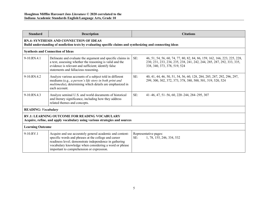| <b>Standard</b>                                                                                                                    | <b>Description</b>                                                                                                                                                                                                                                                                |     | <b>Citations</b>                                                                                                                                                                   |  |
|------------------------------------------------------------------------------------------------------------------------------------|-----------------------------------------------------------------------------------------------------------------------------------------------------------------------------------------------------------------------------------------------------------------------------------|-----|------------------------------------------------------------------------------------------------------------------------------------------------------------------------------------|--|
|                                                                                                                                    | <b>RN.4: SYNTHESIS AND CONNECTION OF IDEAS</b><br>Build understanding of nonfiction texts by evaluating specific claims and synthesizing and connecting ideas                                                                                                                     |     |                                                                                                                                                                                    |  |
|                                                                                                                                    | <b>Synthesis and Connection of Ideas</b>                                                                                                                                                                                                                                          |     |                                                                                                                                                                                    |  |
| 9-10.RN.4.1                                                                                                                        | Delineate and evaluate the argument and specific claims in<br>a text, assessing whether the reasoning is valid and the<br>evidence is relevant and sufficient; identify false<br>statements and fallacious reasoning.                                                             | SE: | 46, 51, 54, 56, 60, 74, 77, 80, 82, 84, 86, 159, 162, 166, 223, 225, 228,<br>230, 231, 233, 234, 235, 238, 241, 242, 244, 285, 287, 292, 333, 335,<br>338, 340, 373, 378, 519, 524 |  |
| 9-10.RN.4.2                                                                                                                        | Analyze various accounts of a subject told in different<br>mediums (e.g., a person's life story in both print and<br>multimedia), determining which details are emphasized in<br>each account.                                                                                    | SE: | 40, 41, 44, 46, 50, 51, 54, 56, 60, 128, 284, 285, 287, 292, 296, 297,<br>299, 300, 302, 372, 373, 378, 380, 500, 501, 519, 520, 524                                               |  |
| 9-10.RN.4.3                                                                                                                        | Analyze seminal U.S. and world documents of historical<br>and literary significance, including how they address<br>related themes and concepts.                                                                                                                                   | SE: | 41–46, 47, 51–56, 60, 220–244, 284–295, 307                                                                                                                                        |  |
| <b>READING: Vocabulary</b>                                                                                                         |                                                                                                                                                                                                                                                                                   |     |                                                                                                                                                                                    |  |
| <b>RV.1: LEARNING OUTCOME FOR READING VOCABULARY</b><br>Acquire, refine, and apply vocabulary using various strategies and sources |                                                                                                                                                                                                                                                                                   |     |                                                                                                                                                                                    |  |
| <b>Learning Outcome</b>                                                                                                            |                                                                                                                                                                                                                                                                                   |     |                                                                                                                                                                                    |  |
| 9-10.RV.1                                                                                                                          | Acquire and use accurately general academic and content-<br>specific words and phrases at the college and career<br>readiness level; demonstrate independence in gathering<br>vocabulary knowledge when considering a word or phrase<br>important to comprehension or expression. | SE: | Representative pages:<br>1, 78, 155, 246, 334, 532                                                                                                                                 |  |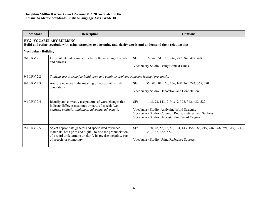| <b>Standard</b>                                                                                                                                       | <b>Description</b>                                                                                                                                                                                              | <b>Citations</b>                                                                                                                                                                                               |  |
|-------------------------------------------------------------------------------------------------------------------------------------------------------|-----------------------------------------------------------------------------------------------------------------------------------------------------------------------------------------------------------------|----------------------------------------------------------------------------------------------------------------------------------------------------------------------------------------------------------------|--|
| <b>RV.2: VOCABULARY BUILDING</b><br>Build and refine vocabulary by using strategies to determine and clarify words and understand their relationships |                                                                                                                                                                                                                 |                                                                                                                                                                                                                |  |
| <b>Vocabulary Building</b>                                                                                                                            |                                                                                                                                                                                                                 |                                                                                                                                                                                                                |  |
| $9-10$ . RV. $2.1$                                                                                                                                    | Use context to determine or clarify the meaning of words<br>and phrases                                                                                                                                         | SE:<br>16, 54, 151, 156, 246, 282, 362, 482, 498<br><b>Vocabulary Studio: Using Context Clues</b>                                                                                                              |  |
| $9-10.RV.2.2$                                                                                                                                         | Students are expected to build upon and continue applying concepts learned previously.                                                                                                                          |                                                                                                                                                                                                                |  |
| 9-10.RV.2.3                                                                                                                                           | Analyze nuances in the meaning of words with similar<br>denotations.                                                                                                                                            | SE:<br>56, 58, 104, 160, 166, 168, 262, 294, 365, 370<br>Vocabulary Studio: Denotation and Connotation                                                                                                         |  |
| $9-10$ . RV. $2.4$                                                                                                                                    | Identify and correctly use patterns of word changes that<br>indicate different meanings or parts of speech (e.g.,<br>analyze, analysis, analytical; advocate, advocacy).                                        | SE:<br>1, 48, 73, 143, 219, 317, 393, 342, 482, 522<br>Vocabulary Studio: Analyzing Word Structure<br>Vocabulary Studio: Common Roots, Prefixes, and Suffixes<br>Vocabulary Studio: Understanding Word Origins |  |
| $9-10$ . RV. $2.5$                                                                                                                                    | Select appropriate general and specialized reference<br>materials, both print and digital, to find the pronunciation<br>of a word or determine or clarify its precise meaning, part<br>of speech, or etymology. | SE:<br>1, 30, 48, 58, 73, 88, 104, 143, 156, 168, 219, 246, 266, 294, 317, 393,<br>342, 362, 482, 522<br>Vocabulary Studio: Using Reference Sources                                                            |  |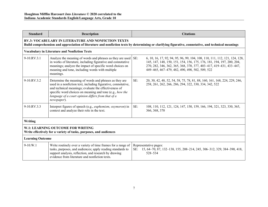| <b>Standard</b>                                                                                        | <b>Description</b>                                                                                                                                                                                                                                                                                                | <b>Citations</b>                                                                                                                                                                                                                                                                   |  |  |
|--------------------------------------------------------------------------------------------------------|-------------------------------------------------------------------------------------------------------------------------------------------------------------------------------------------------------------------------------------------------------------------------------------------------------------------|------------------------------------------------------------------------------------------------------------------------------------------------------------------------------------------------------------------------------------------------------------------------------------|--|--|
|                                                                                                        | <b>RV.3: VOCABULARY IN LITERATURE AND NONFICTION TEXTS</b><br>Build comprehension and appreciation of literature and nonfiction texts by determining or clarifying figurative, connotative, and technical meanings                                                                                                |                                                                                                                                                                                                                                                                                    |  |  |
|                                                                                                        | <b>Vocabulary in Literature and Nonfiction Texts</b>                                                                                                                                                                                                                                                              |                                                                                                                                                                                                                                                                                    |  |  |
| 9-10.RV.3.1                                                                                            | Analyze the meaning of words and phrases as they are used<br>in works of literature, including figurative and connotative<br>meanings; analyze the impact of specific word choices on<br>meaning and tone, including words with multiple<br>meanings.                                                             | SE:<br>6, 10, 16, 17, 92, 94, 95, 96, 99, 104, 108, 110, 111, 112, 121, 124, 128,<br>145, 147, 148, 150, 151, 154, 156, 175, 176, 181, 194, 197, 200, 204,<br>270, 282, 346, 362, 365, 368, 370, 377, 403-417, 419-431, 433-447,<br>449-465, 467-479, 482, 490, 498, 502, 509, 522 |  |  |
| $9-10.RV.3.2$                                                                                          | Determine the meaning of words and phrases as they are<br>used in a nonfiction text, including figurative, connotative,<br>and technical meanings; evaluate the effectiveness of<br>specific word choices on meaning and tone (e.g., how the<br>language of a court opinion differs from that of a<br>newspaper). | SE:<br>20, 30, 42, 48, 52, 54, 58, 75, 78, 81, 88, 160, 161, 168, 224, 229, 246,<br>258, 261, 262, 266, 286, 294, 322, 330, 334, 342, 522                                                                                                                                          |  |  |
| 9-10.RV.3.3                                                                                            | Interpret figures of speech (e.g., euphemism, oxymoron) in<br>context and analyze their role in the text.                                                                                                                                                                                                         | SE:<br>108, 110, 112, 121, 124, 147, 150, 159, 166, 194, 321, 323, 330, 365,<br>366, 368, 370                                                                                                                                                                                      |  |  |
| Writing                                                                                                |                                                                                                                                                                                                                                                                                                                   |                                                                                                                                                                                                                                                                                    |  |  |
| W.1: LEARNING OUTCOME FOR WRITING<br>Write effectively for a variety of tasks, purposes, and audiences |                                                                                                                                                                                                                                                                                                                   |                                                                                                                                                                                                                                                                                    |  |  |
| <b>Learning Outcome</b>                                                                                |                                                                                                                                                                                                                                                                                                                   |                                                                                                                                                                                                                                                                                    |  |  |
| $9-10.W.1$                                                                                             | Write routinely over a variety of time frames for a range of<br>tasks, purposes, and audiences; apply reading standards to<br>support analysis, reflection, and research by drawing<br>evidence from literature and nonfiction texts.                                                                             | Representative pages:<br>SE: 15, 64-70, 87, 132-138, 155, 208-214, 245, 306-312, 329, 384-390, 418,<br>528-534                                                                                                                                                                     |  |  |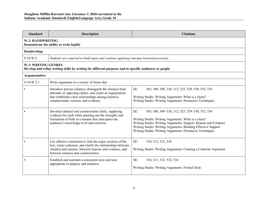| <b>Standard</b>            | <b>Description</b>                                                                                                                                                                                                            | <b>Citations</b>                                                                                                                                                                                                                                                                                             |  |  |
|----------------------------|-------------------------------------------------------------------------------------------------------------------------------------------------------------------------------------------------------------------------------|--------------------------------------------------------------------------------------------------------------------------------------------------------------------------------------------------------------------------------------------------------------------------------------------------------------|--|--|
|                            | W.2: HANDWRITING<br>Demonstrate the ability to write legibly                                                                                                                                                                  |                                                                                                                                                                                                                                                                                                              |  |  |
| <b>Handwriting</b>         |                                                                                                                                                                                                                               |                                                                                                                                                                                                                                                                                                              |  |  |
| $9-10.W.2$                 | Students are expected to build upon and continue applying concepts learned previously.                                                                                                                                        |                                                                                                                                                                                                                                                                                                              |  |  |
| <b>W.3: WRITING GENRES</b> | Develop and refine writing skills by writing for different purposes and to specific audiences or people                                                                                                                       |                                                                                                                                                                                                                                                                                                              |  |  |
| Argumentative              |                                                                                                                                                                                                                               |                                                                                                                                                                                                                                                                                                              |  |  |
| 9-10.W.3.1                 | Write arguments in a variety of forms that -                                                                                                                                                                                  |                                                                                                                                                                                                                                                                                                              |  |  |
|                            | Introduce precise claim(s), distinguish the claim(s) from<br>alternate or opposing claims, and create an organization<br>that establishes clear relationships among claim(s),<br>counterclaims, reasons, and evidence.        | SE:<br>303, 306–308, 310, 312, 525, 528–530, 532, 534<br>Writing Studio: Writing Arguments: What is a claim?<br>Writing Studio: Writing Arguments: Persuasive Techniques                                                                                                                                     |  |  |
|                            | Develop claim(s) and counterclaims fairly, supplying<br>evidence for each while pointing out the strengths and<br>limitations of both in a manner that anticipates the<br>audience's knowledge level and concerns.            | SE:<br>303, 306, 309-310, 312, 525, 529-530, 532, 534<br>Writing Studio: Writing Arguments: What is a claim?<br>Writing Studio: Writing Arguments: Support: Reason and Evidence<br>Writing Studio: Writing Arguments: Building Effective Support<br>Writing Studio: Writing Arguments: Persuasive Techniques |  |  |
|                            | Use effective transitions to link the major sections of the<br>text, create cohesion, and clarify the relationships between<br>claim(s) and reasons, between reasons and evidence, and<br>between claim(s) and counterclaims. | SE:<br>310, 312, 532, 534<br>Writing Studio: Writing Arguments: Creating a Coherent Argument                                                                                                                                                                                                                 |  |  |
|                            | Establish and maintain a consistent style and tone<br>appropriate to purpose and audience.                                                                                                                                    | SE:<br>310, 311, 312, 532, 534<br>Writing Studio: Writing Arguments: Formal Style                                                                                                                                                                                                                            |  |  |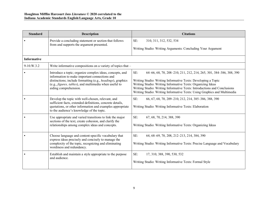| <b>Standard</b>    | <b>Description</b>                                                                                                                                                                                                                                          | <b>Citations</b>                                                                                                                                                                                                                                                                                                                                                  |
|--------------------|-------------------------------------------------------------------------------------------------------------------------------------------------------------------------------------------------------------------------------------------------------------|-------------------------------------------------------------------------------------------------------------------------------------------------------------------------------------------------------------------------------------------------------------------------------------------------------------------------------------------------------------------|
|                    | Provide a concluding statement or section that follows<br>from and supports the argument presented.                                                                                                                                                         | SE:<br>310, 311, 312, 532, 534<br>Writing Studio: Writing Arguments: Concluding Your Argument                                                                                                                                                                                                                                                                     |
| <b>Informative</b> |                                                                                                                                                                                                                                                             |                                                                                                                                                                                                                                                                                                                                                                   |
| $9-10.W.3.2$       | Write informative compositions on a variety of topics that -                                                                                                                                                                                                |                                                                                                                                                                                                                                                                                                                                                                   |
|                    | Introduce a topic; organize complex ideas, concepts, and<br>information to make important connections and<br>distinctions; include formatting (e.g., headings), graphics<br>(e.g., figures, tables), and multimedia when useful to<br>aiding comprehension. | SE:<br>64–66, 68, 70, 208–210, 211, 212, 214, 265, 301, 384–386, 388, 390<br>Writing Studio: Writing Informative Texts: Developing a Topic<br>Writing Studio: Writing Informative Texts: Organizing Ideas<br>Writing Studio: Writing Informative Texts: Introductions and Conclusions<br>Writing Studio: Writing Informative Texts: Using Graphics and Multimedia |
|                    | Develop the topic with well-chosen, relevant, and<br>sufficient facts, extended definitions, concrete details,<br>quotations, or other information and examples appropriate<br>to the audience's knowledge of the topic.                                    | SE:<br>66, 67, 68, 70, 209-210, 212, 214, 385-386, 388, 390<br>Writing Studio: Writing Informative Texts: Elaboration                                                                                                                                                                                                                                             |
|                    | Use appropriate and varied transitions to link the major<br>sections of the text, create cohesion, and clarify the<br>relationships among complex ideas and concepts.                                                                                       | SE:<br>67, 68, 70, 214, 388, 390<br>Writing Studio: Writing Informative Texts: Organizing Ideas                                                                                                                                                                                                                                                                   |
|                    | Choose language and content-specific vocabulary that<br>express ideas precisely and concisely to manage the<br>complexity of the topic, recognizing and eliminating<br>wordiness and redundancy.                                                            | SE:<br>64, 68–69, 70, 208, 212–213, 214, 384, 390<br>Writing Studio: Writing Informative Texts: Precise Language and Vocabulary                                                                                                                                                                                                                                   |
|                    | Establish and maintain a style appropriate to the purpose<br>and audience.                                                                                                                                                                                  | SE:<br>17, 310, 388, 390, 530, 532<br>Writing Studio: Writing Informative Texts: Formal Style                                                                                                                                                                                                                                                                     |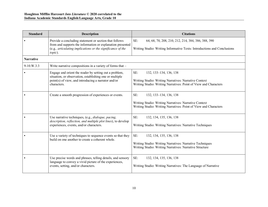| <b>Standard</b>  | <b>Description</b>                                                                                                                                                                             | <b>Citations</b>                                                                                                                                           |
|------------------|------------------------------------------------------------------------------------------------------------------------------------------------------------------------------------------------|------------------------------------------------------------------------------------------------------------------------------------------------------------|
|                  | Provide a concluding statement or section that follows<br>from and supports the information or explanation presented<br>(e.g., articulating implications or the significance of the<br>topic). | SE:<br>64, 68, 70, 208, 210, 212, 214, 384, 386, 388, 390<br>Writing Studio: Writing Informative Texts: Introductions and Conclusions                      |
| <b>Narrative</b> |                                                                                                                                                                                                |                                                                                                                                                            |
| $9-10$ .W.3.3    | Write narrative compositions in a variety of forms that -                                                                                                                                      |                                                                                                                                                            |
|                  | Engage and orient the reader by setting out a problem,<br>situation, or observation, establishing one or multiple<br>point(s) of view, and introducing a narrator and/or<br>characters.        | SE:<br>132, 133-134, 136, 138<br>Writing Studio: Writing Narratives: Narrative Context<br>Writing Studio: Writing Narratives: Point of View and Characters |
|                  | Create a smooth progression of experiences or events.                                                                                                                                          | SE:<br>132, 133-134, 136, 138<br>Writing Studio: Writing Narratives: Narrative Context<br>Writing Studio: Writing Narratives: Point of View and Characters |
|                  | Use narrative techniques, (e.g., dialogue, pacing,<br>description, reflection, and multiple plot lines), to develop<br>experiences, events, and/or characters.                                 | SE:<br>132, 134, 135, 136, 138<br>Writing Studio: Writing Narratives: Narrative Techniques                                                                 |
|                  | Use a variety of techniques to sequence events so that they<br>build on one another to create a coherent whole.                                                                                | SE:<br>132, 134, 135, 136, 138<br>Writing Studio: Writing Narratives: Narrative Techniques<br>Writing Studio: Writing Narratives: Narrative Structure      |
|                  | Use precise words and phrases, telling details, and sensory<br>language to convey a vivid picture of the experiences,<br>events, setting, and/or characters.                                   | SE:<br>132, 134, 135, 136, 138<br>Writing Studio: Writing Narratives: The Language of Narrative                                                            |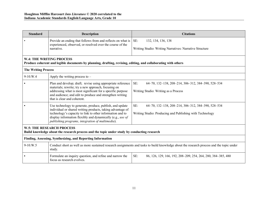| <b>Standard</b>                                                                                                                 | <b>Description</b>                                                                                                                                                                                                                                                                                    | <b>Citations</b>                                                                                                      |
|---------------------------------------------------------------------------------------------------------------------------------|-------------------------------------------------------------------------------------------------------------------------------------------------------------------------------------------------------------------------------------------------------------------------------------------------------|-----------------------------------------------------------------------------------------------------------------------|
|                                                                                                                                 | Provide an ending that follows from and reflects on what is<br>experienced, observed, or resolved over the course of the<br>narrative.                                                                                                                                                                | SE:<br>132, 134, 136, 138<br>Writing Studio: Writing Narratives: Narrative Structure                                  |
| <b>W.4: THE WRITING PROCESS</b>                                                                                                 | Produce coherent and legible documents by planning, drafting, revising, editing, and collaborating with others                                                                                                                                                                                        |                                                                                                                       |
| <b>The Writing Process</b>                                                                                                      |                                                                                                                                                                                                                                                                                                       |                                                                                                                       |
| $9-10.W.4$                                                                                                                      | Apply the writing process to $-$                                                                                                                                                                                                                                                                      |                                                                                                                       |
|                                                                                                                                 | Plan and develop; draft; revise using appropriate reference<br>materials; rewrite; try a new approach, focusing on<br>addressing what is most significant for a specific purpose<br>and audience; and edit to produce and strengthen writing<br>that is clear and coherent.                           | SE:<br>64-70, 132-138, 208-214, 306-312, 384-390, 528-534<br>Writing Studio: Writing as a Process                     |
|                                                                                                                                 | Use technology to generate, produce, publish, and update<br>individual or shared writing products, taking advantage of<br>technology's capacity to link to other information and to<br>display information flexibly and dynamically (e.g., use of<br>publishing programs, integration of multimedia). | SE:<br>64-70, 132-138, 208-214, 306-312, 384-390, 528-534<br>Writing Studio: Producing and Publishing with Technology |
| <b>W.5: THE RESEARCH PROCESS</b><br>Build knowledge about the research process and the topic under study by conducting research |                                                                                                                                                                                                                                                                                                       |                                                                                                                       |
| Finding, Assessing, Synthesizing, and Reporting Information                                                                     |                                                                                                                                                                                                                                                                                                       |                                                                                                                       |
| $9-10.W.5$                                                                                                                      | Conduct short as well as more sustained research assignments and tasks to build knowledge about the research process and the topic under<br>study.                                                                                                                                                    |                                                                                                                       |
|                                                                                                                                 | Formulate an inquiry question, and refine and narrow the<br>focus as research evolves.                                                                                                                                                                                                                | SE:<br>86, 126, 129, 166, 192, 208–209, 254, 264, 280, 384–385, 480                                                   |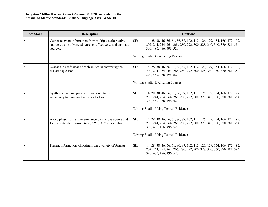| <b>Standard</b> | <b>Description</b>                                                                                                                | <b>Citations</b>                                                                                                                                                                   |
|-----------------|-----------------------------------------------------------------------------------------------------------------------------------|------------------------------------------------------------------------------------------------------------------------------------------------------------------------------------|
|                 | Gather relevant information from multiple authoritative<br>sources, using advanced searches effectively, and annotate<br>sources. | SE:<br>14, 28, 38, 46, 56, 61, 86, 87, 102, 112, 126, 129, 154, 166, 172, 192,<br>202, 244, 254, 264, 266, 280, 292, 300, 328, 340, 360, 370, 381, 384-<br>390, 480, 486, 496, 520 |
|                 |                                                                                                                                   | Writing Studio: Conducting Research                                                                                                                                                |
|                 | Assess the usefulness of each source in answering the<br>research question.                                                       | SE:<br>14, 28, 38, 46, 56, 61, 86, 87, 102, 112, 126, 129, 154, 166, 172, 192,<br>202, 244, 254, 264, 266, 280, 292, 300, 328, 340, 360, 370, 381, 384<br>390, 480, 486, 496, 520  |
|                 |                                                                                                                                   | Writing Studio: Evaluating Sources                                                                                                                                                 |
|                 | Synthesize and integrate information into the text<br>selectively to maintain the flow of ideas.                                  | SE:<br>14, 28, 38, 46, 56, 61, 86, 87, 102, 112, 126, 129, 154, 166, 172, 192,<br>202, 244, 254, 264, 266, 280, 292, 300, 328, 340, 360, 370, 381, 384<br>390, 480, 486, 496, 520  |
|                 |                                                                                                                                   | Writing Studio: Using Textual Evidence                                                                                                                                             |
|                 | Avoid plagiarism and overreliance on any one source and<br>follow a standard format (e.g., MLA, APA) for citation.                | SE:<br>14, 28, 38, 46, 56, 61, 86, 87, 102, 112, 126, 129, 154, 166, 172, 192,<br>202, 244, 254, 264, 266, 280, 292, 300, 328, 340, 360, 370, 381, 384-<br>390, 480, 486, 496, 520 |
|                 |                                                                                                                                   | Writing Studio: Using Textual Evidence                                                                                                                                             |
|                 | Present information, choosing from a variety of formats.                                                                          | SE:<br>14, 28, 38, 46, 56, 61, 86, 87, 102, 112, 126, 129, 154, 166, 172, 192,<br>202, 244, 254, 264, 266, 280, 292, 300, 328, 340, 360, 370, 381, 384<br>390, 480, 486, 496, 520  |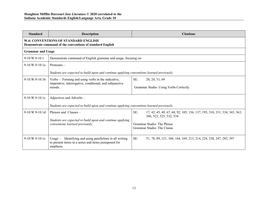| <b>Standard</b>                                                                                           | <b>Description</b>                                                                                                                  | <b>Citations</b>                                                                                           |  |
|-----------------------------------------------------------------------------------------------------------|-------------------------------------------------------------------------------------------------------------------------------------|------------------------------------------------------------------------------------------------------------|--|
| <b>W.6: CONVENTIONS OF STANDARD ENGLISH</b><br>Demonstrate command of the conventions of standard English |                                                                                                                                     |                                                                                                            |  |
| <b>Grammar and Usage</b>                                                                                  |                                                                                                                                     |                                                                                                            |  |
| $9-10$ .W.9 $-10.1$                                                                                       | Demonstrate command of English grammar and usage, focusing on:                                                                      |                                                                                                            |  |
| 9-10.W.9-10.1a                                                                                            | Pronouns $-$                                                                                                                        |                                                                                                            |  |
|                                                                                                           | Students are expected to build upon and continue applying conventions learned previously.                                           |                                                                                                            |  |
| $9-10$ W $9-10.1$ b                                                                                       | Verbs – Forming and using verbs in the indicative,                                                                                  | SE:<br>20, 24, 31, 69                                                                                      |  |
|                                                                                                           | imperative, interrogative, conditional, and subjunctive<br>moods.                                                                   | Grammar Studio: Using Verbs Correctly                                                                      |  |
| $9-10$ W $9-10$ 1c                                                                                        | Adjectives and Adverbs -                                                                                                            |                                                                                                            |  |
|                                                                                                           | Students are expected to build upon and continue applying conventions learned previously.                                           |                                                                                                            |  |
| $9-10$ W $9-10.1d$                                                                                        | Phrases and Clauses -                                                                                                               | SE:<br>17, 42, 45, 49, 67, 68, 92, 105, 136, 137, 195, 310, 331, 334, 343, 363,<br>386, 523, 525, 532, 534 |  |
|                                                                                                           | Students are expected to build upon and continue applying<br>conventions learned previously.                                        | Grammar Studio: The Phrase<br>Grammar Studio: The Clause                                                   |  |
| $9-10$ W $9-10$ le                                                                                        | Identifying and using parallelism in all writing<br>Usage $-$<br>to present items in a series and items juxtaposed for<br>emphasis. | SE:<br>51, 78, 89, 121, 160, 164, 169, 213, 214, 224, 230, 247, 285, 397                                   |  |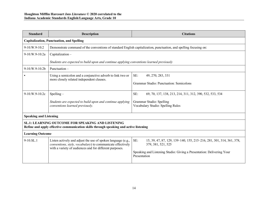| <b>Standard</b>                                                                                                                            | <b>Description</b>                                                                                                                                                                    | <b>Citations</b>                                                                                  |  |  |
|--------------------------------------------------------------------------------------------------------------------------------------------|---------------------------------------------------------------------------------------------------------------------------------------------------------------------------------------|---------------------------------------------------------------------------------------------------|--|--|
|                                                                                                                                            | <b>Capitalization, Punctuation, and Spelling</b>                                                                                                                                      |                                                                                                   |  |  |
| 9-10.W.9-10.2                                                                                                                              | Demonstrate command of the conventions of standard English capitalization, punctuation, and spelling focusing on:                                                                     |                                                                                                   |  |  |
| $9-10.W.9-10.2a$                                                                                                                           | Capitalization-                                                                                                                                                                       |                                                                                                   |  |  |
|                                                                                                                                            | Students are expected to build upon and continue applying conventions learned previously                                                                                              |                                                                                                   |  |  |
| 9-10.W.9-10.2b                                                                                                                             | Punctuation-                                                                                                                                                                          |                                                                                                   |  |  |
|                                                                                                                                            | Using a semicolon and a conjunctive adverb to link two or                                                                                                                             | SE:<br>49, 270, 283, 331                                                                          |  |  |
|                                                                                                                                            | more closely related independent clauses.                                                                                                                                             | Grammar Studio: Punctuation: Semicolons                                                           |  |  |
| 9-10.W.9-10.2c                                                                                                                             | $S$ pelling –                                                                                                                                                                         | SE:<br>69, 70, 137, 138, 213, 214, 311, 312, 390, 532, 533, 534                                   |  |  |
|                                                                                                                                            | Students are expected to build upon and continue applying<br>conventions learned previously.                                                                                          | Grammar Studio: Spelling<br>Vocabulary Studio: Spelling Rules                                     |  |  |
| <b>Speaking and Listening</b>                                                                                                              |                                                                                                                                                                                       |                                                                                                   |  |  |
| SL.1: LEARNING OUTCOME FOR SPEAKING AND LISTENING<br>Refine and apply effective communication skills through speaking and active listening |                                                                                                                                                                                       |                                                                                                   |  |  |
| <b>Learning Outcome</b>                                                                                                                    |                                                                                                                                                                                       |                                                                                                   |  |  |
| 9-10.SL.1                                                                                                                                  | Listen actively and adjust the use of spoken language (e.g.,<br>conventions, style, vocabulary) to communicate effectively<br>with a variety of audiences and for different purposes. | SE:<br>15, 39, 47, 87, 129, 139-140, 155, 215-216, 281, 301, 314, 361, 378,<br>379, 381, 521, 525 |  |  |
|                                                                                                                                            |                                                                                                                                                                                       | Speaking and Listening Studio: Giving a Presentation: Delivering Your<br>Presentation             |  |  |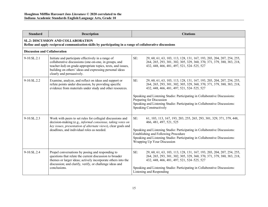| <b>Standard</b>                                                                                                                                        | <b>Description</b>                                                                                                                                                                                                                                                  | <b>Citations</b>                                                                                                                                                                                                                                                                                                                                                                                                        |  |  |
|--------------------------------------------------------------------------------------------------------------------------------------------------------|---------------------------------------------------------------------------------------------------------------------------------------------------------------------------------------------------------------------------------------------------------------------|-------------------------------------------------------------------------------------------------------------------------------------------------------------------------------------------------------------------------------------------------------------------------------------------------------------------------------------------------------------------------------------------------------------------------|--|--|
| <b>SL.2: DISCUSSION AND COLLABORATION</b><br>Refine and apply reciprocal communication skills by participating in a range of collaborative discussions |                                                                                                                                                                                                                                                                     |                                                                                                                                                                                                                                                                                                                                                                                                                         |  |  |
|                                                                                                                                                        | <b>Discussion and Collaboration</b>                                                                                                                                                                                                                                 |                                                                                                                                                                                                                                                                                                                                                                                                                         |  |  |
| $9-10$ .SL.2.1                                                                                                                                         | Initiate and participate effectively in a range of<br>collaborative discussions (one-on-one, in groups, and<br>teacher-led) on grade-appropriate topics, texts, and issues,<br>building on others' ideas and expressing personal ideas<br>clearly and persuasively. | SE:<br>29, 60, 61, 63, 103, 113, 128, 131, 167, 193, 203, 204, 207, 254, 255,<br>264, 265, 293, 301, 302, 305, 329, 360, 370, 371, 379, 380, 383, 218,<br>432, 448, 466, 481, 497, 521, 524-525, 527                                                                                                                                                                                                                    |  |  |
| 9-10.SL.2.2                                                                                                                                            | Examine, analyze, and reflect on ideas and support or<br>refute points under discussion, by providing specific<br>evidence from materials under study and other resources.                                                                                          | SE:<br>29, 60, 61, 63, 103, 113, 128, 131, 167, 193, 203, 204, 207, 254, 255,<br>264, 265, 293, 301, 302, 305, 329, 360, 370, 371, 379, 380, 383, 218,<br>432, 448, 466, 481, 497, 521, 524-525, 527<br>Speaking and Listening Studio: Participating in Collaborative Discussions:<br>Preparing for Discussion<br>Speaking and Listening Studio: Participating in Collaborative Discussions:<br>Speaking Constructively |  |  |
| $9-10$ .SL.2.3                                                                                                                                         | Work with peers to set rules for collegial discussions and<br>decision-making (e.g., informal consensus, taking votes on<br>key issues, presentation of alternate views), clear goals and<br>deadlines, and individual roles as needed.                             | SE:<br>61, 103, 113, 167, 193, 203, 255, 265, 293, 301, 329, 371, 379, 448,<br>466, 481, 497, 521, 525<br>Speaking and Listening Studio: Participating in Collaborative Discussions:<br><b>Establishing and Following Procedure</b><br>Speaking and Listening Studio: Participating in Collaborative Discussions:<br>Wrapping Up Your Discussion                                                                        |  |  |
| $9-10$ .SL.2.4                                                                                                                                         | Propel conversations by posing and responding to<br>questions that relate the current discussion to broader<br>themes or larger ideas; actively incorporate others into the<br>discussion; and clarify, verify, or challenge ideas and<br>conclusions.              | SE:<br>29, 60, 61, 63, 103, 113, 128, 131, 167, 193, 203, 204, 207, 254, 255,<br>264, 265, 293, 301, 302, 305, 329, 360, 370, 371, 379, 380, 383, 218,<br>432, 448, 466, 481, 497, 521, 524-525, 527<br>Speaking and Listening Studio: Participating in Collaborative Discussions:<br>Listening and Responding                                                                                                          |  |  |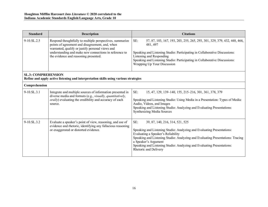| <b>Standard</b>                                                                                                    | <b>Description</b>                                                                                                                                                                                                                                                 | <b>Citations</b>                                                                                                                                                                                                                                                                                                                                                    |  |
|--------------------------------------------------------------------------------------------------------------------|--------------------------------------------------------------------------------------------------------------------------------------------------------------------------------------------------------------------------------------------------------------------|---------------------------------------------------------------------------------------------------------------------------------------------------------------------------------------------------------------------------------------------------------------------------------------------------------------------------------------------------------------------|--|
| 9-10.SL.2.5                                                                                                        | Respond thoughtfully to multiple perspectives, summarize<br>points of agreement and disagreement, and, when<br>warranted, qualify or justify personal views and<br>understanding and make new connections in reference to<br>the evidence and reasoning presented. | SE:<br>57, 87, 103, 167, 193, 203, 255, 265, 293, 301, 329, 379, 432, 448, 466,<br>481, 497<br>Speaking and Listening Studio: Participating in Collaborative Discussions:<br>Listening and Responding<br>Speaking and Listening Studio: Participating in Collaborative Discussions:<br>Wrapping Up Your Discussion                                                  |  |
| <b>SL.3: COMPREHENSION</b><br>Refine and apply active listening and interpretation skills using various strategies |                                                                                                                                                                                                                                                                    |                                                                                                                                                                                                                                                                                                                                                                     |  |
| Comprehension                                                                                                      |                                                                                                                                                                                                                                                                    |                                                                                                                                                                                                                                                                                                                                                                     |  |
| $9-10.SL.3.1$                                                                                                      | Integrate and multiple sources of information presented in<br>diverse media and formats (e.g., visually, quantitatively,<br><i>orally</i> ) evaluating the credibility and accuracy of each<br>source.                                                             | SE:<br>15, 47, 129, 139-140, 155, 215-216, 301, 361, 378, 379<br>Speaking and Listening Studio: Using Media in a Presentation: Types of Media:<br>Audio, Videos, and Images<br>Speaking and Listening Studio: Analyzing and Evaluating Presentations:<br>Synthesizing Media Sources                                                                                 |  |
| $9-10$ .SL.3.2                                                                                                     | Evaluate a speaker's point of view, reasoning, and use of<br>evidence and rhetoric, identifying any fallacious reasoning<br>or exaggerated or distorted evidence.                                                                                                  | SE:<br>39, 87, 140, 216, 314, 521, 525<br>Speaking and Listening Studio: Analyzing and Evaluating Presentations:<br>Evaluating a Speaker's Reliability<br>Speaking and Listening Studio: Analyzing and Evaluating Presentations: Tracing<br>a Speaker's Argument<br>Speaking and Listening Studio: Analyzing and Evaluating Presentations:<br>Rhetoric and Delivery |  |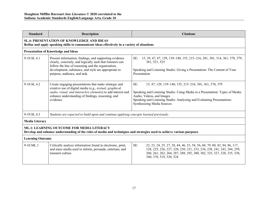| <b>Standard</b>                                                                                                                                                            | <b>Description</b>                                                                                                                                                                                                                                                | <b>Citations</b>                                                                                                                                                                                                                                                                           |  |
|----------------------------------------------------------------------------------------------------------------------------------------------------------------------------|-------------------------------------------------------------------------------------------------------------------------------------------------------------------------------------------------------------------------------------------------------------------|--------------------------------------------------------------------------------------------------------------------------------------------------------------------------------------------------------------------------------------------------------------------------------------------|--|
| <b>SL.4: PRESENTATION OF KNOWLEDGE AND IDEAS</b><br>Refine and apply speaking skills to communicate ideas effectively in a variety of situations                           |                                                                                                                                                                                                                                                                   |                                                                                                                                                                                                                                                                                            |  |
|                                                                                                                                                                            | <b>Presentation of Knowledge and Ideas</b>                                                                                                                                                                                                                        |                                                                                                                                                                                                                                                                                            |  |
| $9-10$ .SL.4.1                                                                                                                                                             | Present information, findings, and supporting evidence<br>clearly, concisely, and logically such that listeners can<br>follow the line of reasoning and the organization,<br>development, substance, and style are appropriate to<br>purpose, audience, and task. | 15, 39, 47, 87, 129, 139–140, 155, 215–216, 281, 301, 314, 361, 378, 379,<br>SE:<br>381, 521, 525<br>Speaking and Listening Studio: Giving a Presentation: The Content of Your<br>Presentation                                                                                             |  |
| 9-10.SL.4.2                                                                                                                                                                | Create engaging presentations that make strategic and<br>creative use of digital media (e.g., textual, graphical,<br>audio, visual, and interactive elements) to add interest and<br>enhance understanding of findings, reasoning, and<br>evidence.               | SE:<br>15, 47, 129, 139-140, 155, 215-216, 301, 361, 378, 379<br>Speaking and Listening Studio: Using Media in a Presentation: Types of Media:<br>Audio, Videos, and Images<br>Speaking and Listening Studio: Analyzing and Evaluating Presentations:<br><b>Synthesizing Media Sources</b> |  |
| 9-10.SL.4.3                                                                                                                                                                | Students are expected to build upon and continue applying concepts learned previously.                                                                                                                                                                            |                                                                                                                                                                                                                                                                                            |  |
| <b>Media Literacy</b>                                                                                                                                                      |                                                                                                                                                                                                                                                                   |                                                                                                                                                                                                                                                                                            |  |
| <b>ML.1: LEARNING OUTCOME FOR MEDIA LITERACY</b><br>Develop and enhance understanding of the roles of media and techniques and strategies used to achieve various purposes |                                                                                                                                                                                                                                                                   |                                                                                                                                                                                                                                                                                            |  |
| <b>Learning Outcome</b>                                                                                                                                                    |                                                                                                                                                                                                                                                                   |                                                                                                                                                                                                                                                                                            |  |
| 9-10.ML.1                                                                                                                                                                  | Critically analyze information found in electronic, print,<br>and mass media used to inform, persuade, entertain, and<br>transmit culture.                                                                                                                        | SE:<br>22, 23, 24, 25, 27, 28, 44, 46, 53, 54, 56, 60, 79, 80, 82, 84, 86, 117,<br>128, 225, 226, 227, 228, 230, 231, 233, 234, 238, 241, 242, 244, 259,<br>260, 261, 262, 264, 287, 288, 292, 300, 302, 325, 327, 328, 335, 338,<br>340, 378, 519, 520, 524                               |  |